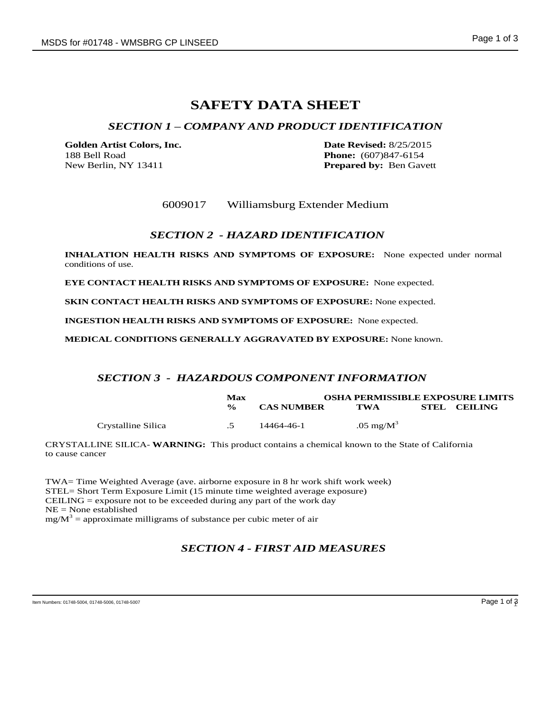# **SAFETY DATA SHEET**

## *SECTION 1 – COMPANY AND PRODUCT IDENTIFICATION*

**Golden Artist Colors, Inc. Date Revised:** 8/25/2015 188 Bell Road **Phone:** (607)847-6154 New Berlin, NY 13411 **Prepared by:** Ben Gavett

6009017 Williamsburg Extender Medium

## *SECTION 2 - HAZARD IDENTIFICATION*

**INHALATION HEALTH RISKS AND SYMPTOMS OF EXPOSURE:** None expected under normal conditions of use.

**EYE CONTACT HEALTH RISKS AND SYMPTOMS OF EXPOSURE:** None expected.

**SKIN CONTACT HEALTH RISKS AND SYMPTOMS OF EXPOSURE:** None expected.

**INGESTION HEALTH RISKS AND SYMPTOMS OF EXPOSURE:** None expected.

**MEDICAL CONDITIONS GENERALLY AGGRAVATED BY EXPOSURE:** None known.

## *SECTION 3 - HAZARDOUS COMPONENT INFORMATION*

|                    | Max           | <b>OSHA PERMISSIBLE EXPOSURE LIMITS</b> |                      |  |              |
|--------------------|---------------|-----------------------------------------|----------------------|--|--------------|
|                    | $\frac{6}{6}$ | <b>CAS NUMBER</b>                       | TWA                  |  | STEL CEILING |
| Crystalline Silica |               | 14464-46-1                              | $.05 \text{ mg/M}^3$ |  |              |

CRYSTALLINE SILICA- **WARNING:** This product contains a chemical known to the State of California to cause cancer

TWA= Time Weighted Average (ave. airborne exposure in 8 hr work shift work week) STEL= Short Term Exposure Limit (15 minute time weighted average exposure) CEILING  $=$  exposure not to be exceeded during any part of the work day NE = None established  $mg/M^3$  = approximate milligrams of substance per cubic meter of air

## *SECTION 4 - FIRST AID MEASURES*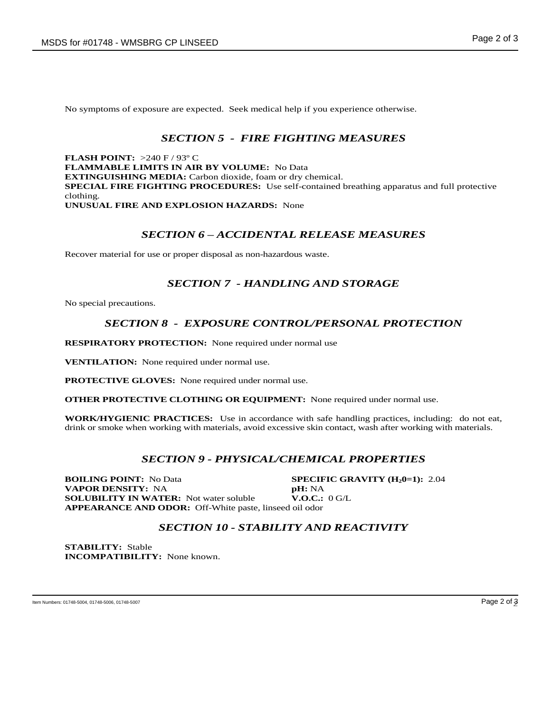No symptoms of exposure are expected. Seek medical help if you experience otherwise.

## *SECTION 5 - FIRE FIGHTING MEASURES*

**FLASH POINT:** >240 F / 93º C **FLAMMABLE LIMITS IN AIR BY VOLUME:** No Data **EXTINGUISHING MEDIA:** Carbon dioxide, foam or dry chemical. **SPECIAL FIRE FIGHTING PROCEDURES:** Use self-contained breathing apparatus and full protective clothing. **UNUSUAL FIRE AND EXPLOSION HAZARDS:** None

## *SECTION 6 – ACCIDENTAL RELEASE MEASURES*

Recover material for use or proper disposal as non-hazardous waste.

## *SECTION 7 - HANDLING AND STORAGE*

No special precautions.

## *SECTION 8 - EXPOSURE CONTROL/PERSONAL PROTECTION*

**RESPIRATORY PROTECTION:** None required under normal use

**VENTILATION:** None required under normal use.

**PROTECTIVE GLOVES:** None required under normal use.

**OTHER PROTECTIVE CLOTHING OR EQUIPMENT:** None required under normal use.

**WORK/HYGIENIC PRACTICES:** Use in accordance with safe handling practices, including: do not eat, drink or smoke when working with materials, avoid excessive skin contact, wash after working with materials.

## *SECTION 9 - PHYSICAL/CHEMICAL PROPERTIES*

**BOILING POINT:** No Data **SPECIFIC GRAVITY (H<sub>2</sub>0=1):** 2.04 **VAPOR DENSITY:** NA **pH:** NA **SOLUBILITY IN WATER:** Not water soluble **V.O.C.:** 0 G/L **APPEARANCE AND ODOR:** Off-White paste, linseed oil odor

## *SECTION 10 - STABILITY AND REACTIVITY*

**STABILITY:** Stable **INCOMPATIBILITY:** None known.

Item Numbers: 01748-5004, 01748-5006, 01748-5007